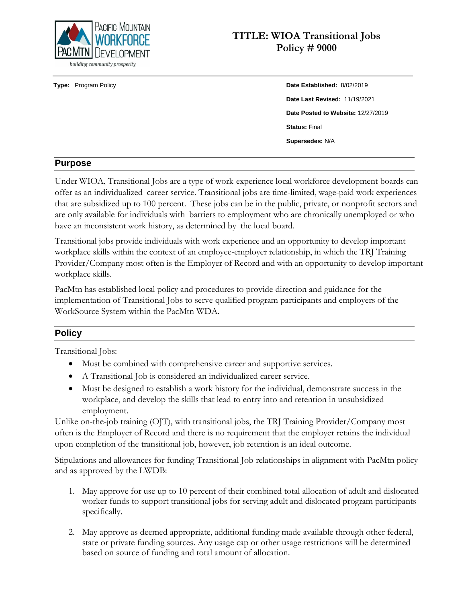

# **TITLE: WIOA Transitional Jobs Policy # 9000**

# **Type:** Program Policy **Date Established:** 8/02/2019 **Date Last Revised:** 11/19/2021 **Date Posted to Website:** 12/27/2019 **Status:** Final **Supersedes:** N/A

## **Purpose**

Under WIOA, Transitional Jobs are a type of work-experience local workforce development boards can offer as an individualized career service. Transitional jobs are time-limited, wage-paid work experiences that are subsidized up to 100 percent. These jobs can be in the public, private, or nonprofit sectors and are only available for individuals with barriers to employment who are chronically unemployed or who have an inconsistent work history, as determined by the local board.

Transitional jobs provide individuals with work experience and an opportunity to develop important workplace skills within the context of an employee-employer relationship, in which the TRJ Training Provider/Company most often is the Employer of Record and with an opportunity to develop important workplace skills.

PacMtn has established local policy and procedures to provide direction and guidance for the implementation of Transitional Jobs to serve qualified program participants and employers of the WorkSource System within the PacMtn WDA.

## **Policy**

Transitional Jobs:

- Must be combined with comprehensive career and supportive services.
- A Transitional Job is considered an individualized career service.
- Must be designed to establish a work history for the individual, demonstrate success in the workplace, and develop the skills that lead to entry into and retention in unsubsidized employment.

Unlike on-the-job training (OJT), with transitional jobs, the TRJ Training Provider/Company most often is the Employer of Record and there is no requirement that the employer retains the individual upon completion of the transitional job, however, job retention is an ideal outcome.

Stipulations and allowances for funding Transitional Job relationships in alignment with PacMtn policy and as approved by the LWDB:

- 1. May approve for use up to 10 percent of their combined total allocation of adult and dislocated worker funds to support transitional jobs for serving adult and dislocated program participants specifically.
- 2. May approve as deemed appropriate, additional funding made available through other federal, state or private funding sources. Any usage cap or other usage restrictions will be determined based on source of funding and total amount of allocation.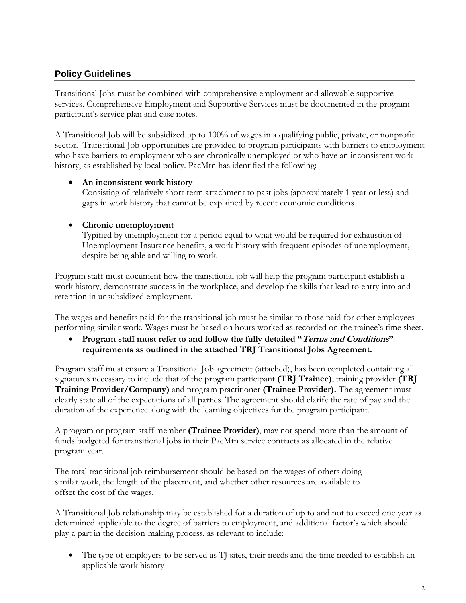## **Policy Guidelines**

Transitional Jobs must be combined with comprehensive employment and allowable supportive services. Comprehensive Employment and Supportive Services must be documented in the program participant's service plan and case notes.

A Transitional Job will be subsidized up to 100% of wages in a qualifying public, private, or nonprofit sector. Transitional Job opportunities are provided to program participants with barriers to employment who have barriers to employment who are chronically unemployed or who have an inconsistent work history, as established by local policy. PacMtn has identified the following:

## **An inconsistent work history**

Consisting of relatively short-term attachment to past jobs (approximately 1 year or less) and gaps in work history that cannot be explained by recent economic conditions.

## **Chronic unemployment**

Typified by unemployment for a period equal to what would be required for exhaustion of Unemployment Insurance benefits, a work history with frequent episodes of unemployment, despite being able and willing to work.

Program staff must document how the transitional job will help the program participant establish a work history, demonstrate success in the workplace, and develop the skills that lead to entry into and retention in unsubsidized employment.

The wages and benefits paid for the transitional job must be similar to those paid for other employees performing similar work. Wages must be based on hours worked as recorded on the trainee's time sheet.

 **Program staff must refer to and follow the fully detailed "Terms and Conditions" requirements as outlined in the attached TRJ Transitional Jobs Agreement.** 

Program staff must ensure a Transitional Job agreement (attached), has been completed containing all signatures necessary to include that of the program participant **(TRJ Trainee)**, training provider **(TRJ Training Provider/Company)** and program practitioner **(Trainee Provider).** The agreement must clearly state all of the expectations of all parties. The agreement should clarify the rate of pay and the duration of the experience along with the learning objectives for the program participant.

A program or program staff member **(Trainee Provider)**, may not spend more than the amount of funds budgeted for transitional jobs in their PacMtn service contracts as allocated in the relative program year.

The total transitional job reimbursement should be based on the wages of others doing similar work, the length of the placement, and whether other resources are available to offset the cost of the wages.

A Transitional Job relationship may be established for a duration of up to and not to exceed one year as determined applicable to the degree of barriers to employment, and additional factor's which should play a part in the decision-making process, as relevant to include:

• The type of employers to be served as TJ sites, their needs and the time needed to establish an applicable work history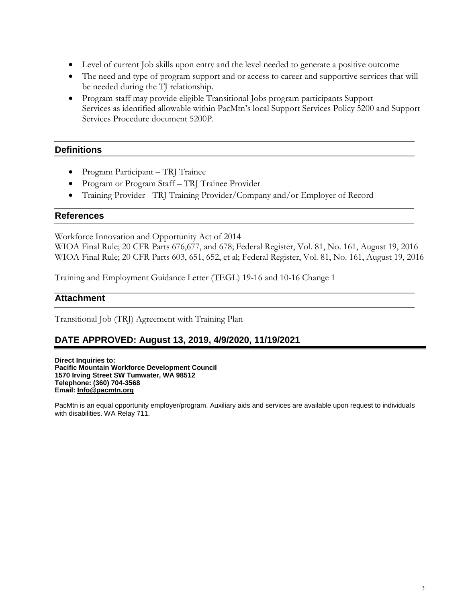- Level of current Job skills upon entry and the level needed to generate a positive outcome
- The need and type of program support and or access to career and supportive services that will be needed during the TJ relationship.
- Program staff may provide eligible Transitional Jobs program participants Support Services as identified allowable within PacMtn's local Support Services Policy 5200 and Support Services Procedure document 5200P.

## **Definitions**

- Program Participant TRJ Trainee
- Program or Program Staff TRJ Trainee Provider
- Training Provider TRJ Training Provider/Company and/or Employer of Record

## **References**

Workforce Innovation and Opportunity Act of 2014

WIOA Final Rule; 20 CFR Parts 676,677, and 678; Federal Register, Vol. 81, No. 161, August 19, 2016 WIOA Final Rule; 20 CFR Parts 603, 651, 652, et al; Federal Register, Vol. 81, No. 161, August 19, 2016

Training and Employment Guidance Letter (TEGL) 19-16 and 10-16 Change 1

## **Attachment**

Transitional Job (TRJ) Agreement with Training Plan

## **DATE APPROVED: August 13, 2019, 4/9/2020, 11/19/2021**

**Direct Inquiries to: Pacific Mountain Workforce Development Council 1570 Irving Street SW Tumwater, WA 98512 Telephone: (360) 704-3568 Email[: Info@pacmtn.org](mailto:Info@pacmtn.org)**

PacMtn is an equal opportunity employer/program. Auxiliary aids and services are available upon request to individuals with disabilities. WA Relay 711.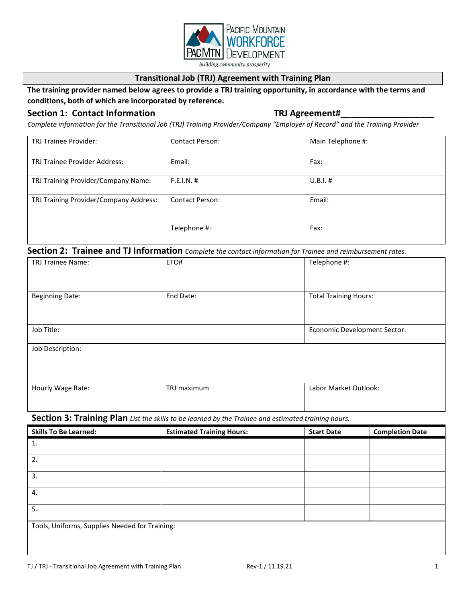

#### **Transitional Job (TRJ) Agreement with Training Plan**

## **The training provider named below agrees to provide a TRJ training opportunity, in accordance with the terms and conditions, both of which are incorporated by reference.**

#### Section 1: Contact Information **TRJ Agreement#**

*Complete information for the Transitional Job (TRJ) Training Provider/Company "Employer of Record" and the Training Provider*

| <b>TRJ Trainee Provider:</b>           | <b>Contact Person:</b> | Main Telephone #: |
|----------------------------------------|------------------------|-------------------|
| <b>TRJ Trainee Provider Address:</b>   | Email:                 | Fax:              |
| TRJ Training Provider/Company Name:    | F.E.I.N. #             | $U.B.I.$ #        |
| TRJ Training Provider/Company Address: | <b>Contact Person:</b> | Email:            |
|                                        | Telephone #:           | Fax:              |

#### **Section 2: Trainee and TJ Information** *Complete the contact information for Trainee and reimbursement rates.*

| TRJ Trainee Name:      | ETO#        | Telephone #:                        |  |
|------------------------|-------------|-------------------------------------|--|
| <b>Beginning Date:</b> | End Date:   | <b>Total Training Hours:</b>        |  |
| Job Title:             |             | <b>Economic Development Sector:</b> |  |
| Job Description:       |             |                                     |  |
| Hourly Wage Rate:      | TRJ maximum | Labor Market Outlook:               |  |

## **Section 3: Training Plan** *List the skills to be learned by the Trainee and estimated training hours.*

| <b>Skills To Be Learned:</b>                   | <b>Estimated Training Hours:</b> | <b>Start Date</b> | <b>Completion Date</b> |
|------------------------------------------------|----------------------------------|-------------------|------------------------|
| 1.                                             |                                  |                   |                        |
| 2.                                             |                                  |                   |                        |
| 3.                                             |                                  |                   |                        |
| 4.                                             |                                  |                   |                        |
| 5.                                             |                                  |                   |                        |
| Tools, Uniforms, Supplies Needed for Training: |                                  |                   |                        |
|                                                |                                  |                   |                        |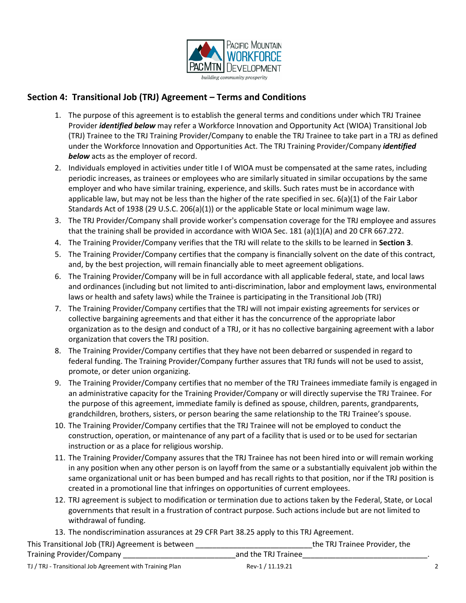

## **Section 4: Transitional Job (TRJ) Agreement – Terms and Conditions**

- 1. The purpose of this agreement is to establish the general terms and conditions under which TRJ Trainee Provider *identified below* may refer a Workforce Innovation and Opportunity Act (WIOA) Transitional Job (TRJ) Trainee to the TRJ Training Provider/Company to enable the TRJ Trainee to take part in a TRJ as defined under the Workforce Innovation and Opportunities Act. The TRJ Training Provider/Company *identified*  **below** acts as the employer of record.
- 2. Individuals employed in activities under title I of WIOA must be compensated at the same rates, including periodic increases, as trainees or employees who are similarly situated in similar occupations by the same employer and who have similar training, experience, and skills. Such rates must be in accordance with applicable law, but may not be less than the higher of the rate specified in sec. 6(a)(1) of the Fair Labor Standards Act of 1938 (29 U.S.C. 206(a)(1)) or the applicable State or local minimum wage law.
- 3. The TRJ Provider/Company shall provide worker's compensation coverage for the TRJ employee and assures that the training shall be provided in accordance with WIOA Sec. 181 (a)(1)(A) and 20 CFR 667.272.
- 4. The Training Provider/Company verifies that the TRJ will relate to the skills to be learned in **Section 3**.
- 5. The Training Provider/Company certifies that the company is financially solvent on the date of this contract, and, by the best projection, will remain financially able to meet agreement obligations.
- 6. The Training Provider/Company will be in full accordance with all applicable federal, state, and local laws and ordinances (including but not limited to anti-discrimination, labor and employment laws, environmental laws or health and safety laws) while the Trainee is participating in the Transitional Job (TRJ)
- 7. The Training Provider/Company certifies that the TRJ will not impair existing agreements for services or collective bargaining agreements and that either it has the concurrence of the appropriate labor organization as to the design and conduct of a TRJ, or it has no collective bargaining agreement with a labor organization that covers the TRJ position.
- 8. The Training Provider/Company certifies that they have not been debarred or suspended in regard to federal funding. The Training Provider/Company further assures that TRJ funds will not be used to assist, promote, or deter union organizing.
- 9. The Training Provider/Company certifies that no member of the TRJ Trainees immediate family is engaged in an administrative capacity for the Training Provider/Company or will directly supervise the TRJ Trainee. For the purpose of this agreement, immediate family is defined as spouse, children, parents, grandparents, grandchildren, brothers, sisters, or person bearing the same relationship to the TRJ Trainee's spouse.
- 10. The Training Provider/Company certifies that the TRJ Trainee will not be employed to conduct the construction, operation, or maintenance of any part of a facility that is used or to be used for sectarian instruction or as a place for religious worship.
- 11. The Training Provider/Company assures that the TRJ Trainee has not been hired into or will remain working in any position when any other person is on layoff from the same or a substantially equivalent job within the same organizational unit or has been bumped and has recall rights to that position, nor if the TRJ position is created in a promotional line that infringes on opportunities of current employees.
- 12. TRJ agreement is subject to modification or termination due to actions taken by the Federal, State, or Local governments that result in a frustration of contract purpose. Such actions include but are not limited to withdrawal of funding.
- 13. The nondiscrimination assurances at 29 CFR Part 38.25 apply to this TRJ Agreement.

| This Transitional Job (TRJ) Agreement is between |                     | the TRJ Trainee Provider, the |  |
|--------------------------------------------------|---------------------|-------------------------------|--|
| Training Provider/Company                        | and the TRJ Trainee |                               |  |